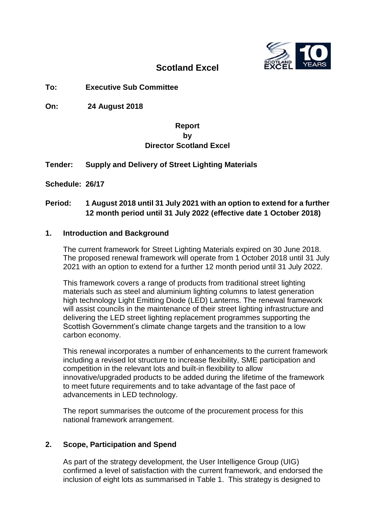

# **Scotland Excel**

# **To: Executive Sub Committee**

**On: 24 August 2018**

# **Report by Director Scotland Excel**

# **Tender: Supply and Delivery of Street Lighting Materials**

**Schedule: 26/17**

# **Period: 1 August 2018 until 31 July 2021 with an option to extend for a further 12 month period until 31 July 2022 (effective date 1 October 2018)**

### **1. Introduction and Background**

The current framework for Street Lighting Materials expired on 30 June 2018. The proposed renewal framework will operate from 1 October 2018 until 31 July 2021 with an option to extend for a further 12 month period until 31 July 2022.

This framework covers a range of products from traditional street lighting materials such as steel and aluminium lighting columns to latest generation high technology Light Emitting Diode (LED) Lanterns. The renewal framework will assist councils in the maintenance of their street lighting infrastructure and delivering the LED street lighting replacement programmes supporting the Scottish Government's climate change targets and the transition to a low carbon economy.

This renewal incorporates a number of enhancements to the current framework including a revised lot structure to increase flexibility, SME participation and competition in the relevant lots and built-in flexibility to allow innovative/upgraded products to be added during the lifetime of the framework to meet future requirements and to take advantage of the fast pace of advancements in LED technology.

The report summarises the outcome of the procurement process for this national framework arrangement.

# **2. Scope, Participation and Spend**

As part of the strategy development, the User Intelligence Group (UIG) confirmed a level of satisfaction with the current framework, and endorsed the inclusion of eight lots as summarised in Table 1. This strategy is designed to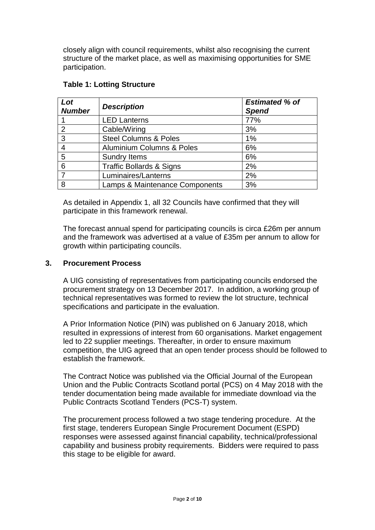closely align with council requirements, whilst also recognising the current structure of the market place, as well as maximising opportunities for SME participation.

| Lot<br><b>Number</b> | <b>Description</b>                   | <b>Estimated % of</b><br><b>Spend</b> |
|----------------------|--------------------------------------|---------------------------------------|
|                      | <b>LED Lanterns</b>                  | 77%                                   |
| 2                    | Cable/Wiring                         | 3%                                    |
| 3                    | <b>Steel Columns &amp; Poles</b>     | 1%                                    |
| $\overline{4}$       | <b>Aluminium Columns &amp; Poles</b> | 6%                                    |
| 5                    | <b>Sundry Items</b>                  | 6%                                    |
| $6\phantom{1}6$      | <b>Traffic Bollards &amp; Signs</b>  | 2%                                    |
| 7                    | Luminaires/Lanterns                  | 2%                                    |
| 8                    | Lamps & Maintenance Components       | 3%                                    |

### **Table 1: Lotting Structure**

As detailed in Appendix 1, all 32 Councils have confirmed that they will participate in this framework renewal.

The forecast annual spend for participating councils is circa £26m per annum and the framework was advertised at a value of £35m per annum to allow for growth within participating councils.

### **3. Procurement Process**

A UIG consisting of representatives from participating councils endorsed the procurement strategy on 13 December 2017. In addition, a working group of technical representatives was formed to review the lot structure, technical specifications and participate in the evaluation.

A Prior Information Notice (PIN) was published on 6 January 2018, which resulted in expressions of interest from 60 organisations. Market engagement led to 22 supplier meetings. Thereafter, in order to ensure maximum competition, the UIG agreed that an open tender process should be followed to establish the framework.

The Contract Notice was published via the Official Journal of the European Union and the Public Contracts Scotland portal (PCS) on 4 May 2018 with the tender documentation being made available for immediate download via the Public Contracts Scotland Tenders (PCS-T) system.

The procurement process followed a two stage tendering procedure. At the first stage, tenderers European Single Procurement Document (ESPD) responses were assessed against financial capability, technical/professional capability and business probity requirements. Bidders were required to pass this stage to be eligible for award.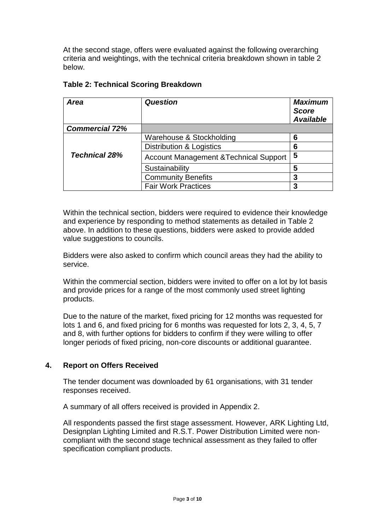At the second stage, offers were evaluated against the following overarching criteria and weightings, with the technical criteria breakdown shown in table 2 below.

| <b>Area</b>           | <b>Question</b>                                   | <b>Maximum</b><br><b>Score</b><br><b>Available</b> |
|-----------------------|---------------------------------------------------|----------------------------------------------------|
| <b>Commercial 72%</b> |                                                   |                                                    |
|                       | Warehouse & Stockholding                          | 6                                                  |
|                       | <b>Distribution &amp; Logistics</b>               | 6                                                  |
| <b>Technical 28%</b>  | <b>Account Management &amp; Technical Support</b> | 5                                                  |
|                       | Sustainability                                    | 5                                                  |
|                       | <b>Community Benefits</b>                         | 3                                                  |
|                       | <b>Fair Work Practices</b>                        | 3                                                  |

### **Table 2: Technical Scoring Breakdown**

Within the technical section, bidders were required to evidence their knowledge and experience by responding to method statements as detailed in Table 2 above. In addition to these questions, bidders were asked to provide added value suggestions to councils.

Bidders were also asked to confirm which council areas they had the ability to service.

Within the commercial section, bidders were invited to offer on a lot by lot basis and provide prices for a range of the most commonly used street lighting products.

Due to the nature of the market, fixed pricing for 12 months was requested for lots 1 and 6, and fixed pricing for 6 months was requested for lots 2, 3, 4, 5, 7 and 8, with further options for bidders to confirm if they were willing to offer longer periods of fixed pricing, non-core discounts or additional guarantee.

# **4. Report on Offers Received**

The tender document was downloaded by 61 organisations, with 31 tender responses received.

A summary of all offers received is provided in Appendix 2.

All respondents passed the first stage assessment. However, ARK Lighting Ltd, Designplan Lighting Limited and R.S.T. Power Distribution Limited were noncompliant with the second stage technical assessment as they failed to offer specification compliant products.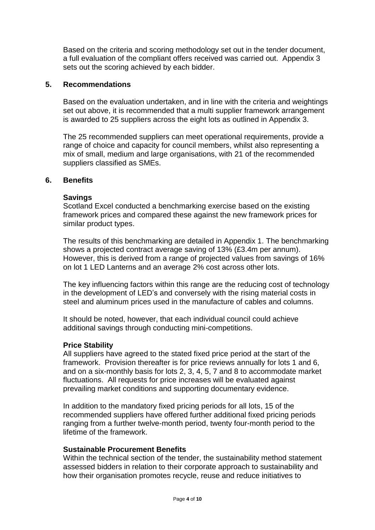Based on the criteria and scoring methodology set out in the tender document, a full evaluation of the compliant offers received was carried out. Appendix 3 sets out the scoring achieved by each bidder.

#### **5. Recommendations**

Based on the evaluation undertaken, and in line with the criteria and weightings set out above, it is recommended that a multi supplier framework arrangement is awarded to 25 suppliers across the eight lots as outlined in Appendix 3.

The 25 recommended suppliers can meet operational requirements, provide a range of choice and capacity for council members, whilst also representing a mix of small, medium and large organisations, with 21 of the recommended suppliers classified as SMEs.

#### **6. Benefits**

#### **Savings**

Scotland Excel conducted a benchmarking exercise based on the existing framework prices and compared these against the new framework prices for similar product types.

The results of this benchmarking are detailed in Appendix 1. The benchmarking shows a projected contract average saving of 13% (£3.4m per annum). However, this is derived from a range of projected values from savings of 16% on lot 1 LED Lanterns and an average 2% cost across other lots.

The key influencing factors within this range are the reducing cost of technology in the development of LED's and conversely with the rising material costs in steel and aluminum prices used in the manufacture of cables and columns.

It should be noted, however, that each individual council could achieve additional savings through conducting mini-competitions.

#### **Price Stability**

All suppliers have agreed to the stated fixed price period at the start of the framework. Provision thereafter is for price reviews annually for lots 1 and 6, and on a six-monthly basis for lots 2, 3, 4, 5, 7 and 8 to accommodate market fluctuations. All requests for price increases will be evaluated against prevailing market conditions and supporting documentary evidence.

In addition to the mandatory fixed pricing periods for all lots, 15 of the recommended suppliers have offered further additional fixed pricing periods ranging from a further twelve-month period, twenty four-month period to the lifetime of the framework.

#### **Sustainable Procurement Benefits**

Within the technical section of the tender, the sustainability method statement assessed bidders in relation to their corporate approach to sustainability and how their organisation promotes recycle, reuse and reduce initiatives to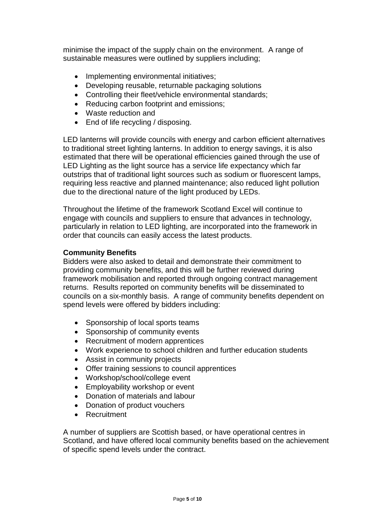minimise the impact of the supply chain on the environment. A range of sustainable measures were outlined by suppliers including;

- Implementing environmental initiatives;
- Developing reusable, returnable packaging solutions
- Controlling their fleet/vehicle environmental standards;
- Reducing carbon footprint and emissions;
- Waste reduction and
- End of life recycling / disposing.

LED lanterns will provide councils with energy and carbon efficient alternatives to traditional street lighting lanterns. In addition to energy savings, it is also estimated that there will be operational efficiencies gained through the use of LED Lighting as the light source has a service life expectancy which far outstrips that of traditional light sources such as sodium or fluorescent lamps, requiring less reactive and planned maintenance; also reduced light pollution due to the directional nature of the light produced by LEDs.

Throughout the lifetime of the framework Scotland Excel will continue to engage with councils and suppliers to ensure that advances in technology, particularly in relation to LED lighting, are incorporated into the framework in order that councils can easily access the latest products.

# **Community Benefits**

Bidders were also asked to detail and demonstrate their commitment to providing community benefits, and this will be further reviewed during framework mobilisation and reported through ongoing contract management returns. Results reported on community benefits will be disseminated to councils on a six-monthly basis. A range of community benefits dependent on spend levels were offered by bidders including:

- Sponsorship of local sports teams
- Sponsorship of community events
- Recruitment of modern apprentices
- Work experience to school children and further education students
- Assist in community projects
- Offer training sessions to council apprentices
- Workshop/school/college event
- Employability workshop or event
- Donation of materials and labour
- Donation of product vouchers
- Recruitment

A number of suppliers are Scottish based, or have operational centres in Scotland, and have offered local community benefits based on the achievement of specific spend levels under the contract.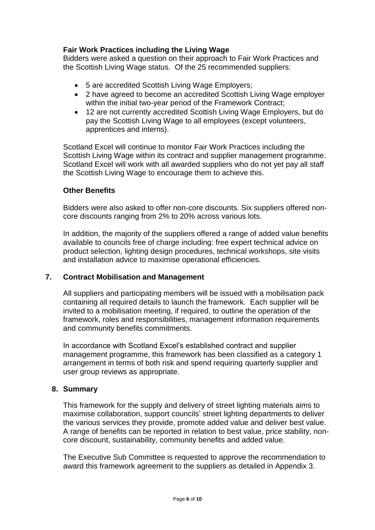# **Fair Work Practices including the Living Wage**

Bidders were asked a question on their approach to Fair Work Practices and the Scottish Living Wage status. Of the 25 recommended suppliers:

- 5 are accredited Scottish Living Wage Employers;
- 2 have agreed to become an accredited Scottish Living Wage employer within the initial two-year period of the Framework Contract;
- 12 are not currently accredited Scottish Living Wage Employers, but do pay the Scottish Living Wage to all employees (except volunteers, apprentices and interns).

Scotland Excel will continue to monitor Fair Work Practices including the Scottish Living Wage within its contract and supplier management programme. Scotland Excel will work with all awarded suppliers who do not yet pay all staff the Scottish Living Wage to encourage them to achieve this.

#### **Other Benefits**

Bidders were also asked to offer non-core discounts. Six suppliers offered noncore discounts ranging from 2% to 20% across various lots.

In addition, the majority of the suppliers offered a range of added value benefits available to councils free of charge including: free expert technical advice on product selection, lighting design procedures, technical workshops, site visits and installation advice to maximise operational efficiencies.

#### **7. Contract Mobilisation and Management**

All suppliers and participating members will be issued with a mobilisation pack containing all required details to launch the framework. Each supplier will be invited to a mobilisation meeting, if required, to outline the operation of the framework, roles and responsibilities, management information requirements and community benefits commitments.

In accordance with Scotland Excel's established contract and supplier management programme, this framework has been classified as a category 1 arrangement in terms of both risk and spend requiring quarterly supplier and user group reviews as appropriate.

#### **8. Summary**

This framework for the supply and delivery of street lighting materials aims to maximise collaboration, support councils' street lighting departments to deliver the various services they provide, promote added value and deliver best value. A range of benefits can be reported in relation to best value, price stability, noncore discount, sustainability, community benefits and added value.

The Executive Sub Committee is requested to approve the recommendation to award this framework agreement to the suppliers as detailed in Appendix 3.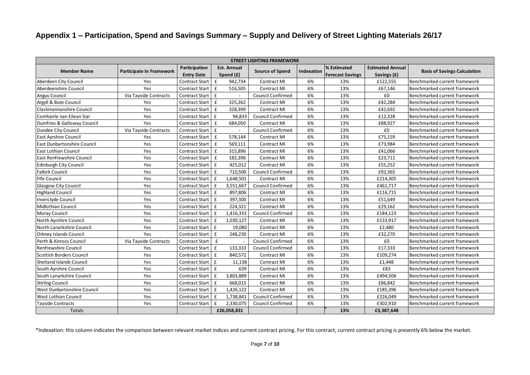# **Appendix 1 – Participation, Spend and Savings Summary – Supply and Delivery of Street Lighting Materials 26/17**

|                                 |                                 |                                    |                                 | <b>STREET LIGHTING FRAMEWORK</b> |            |                                        |                                        |                                     |
|---------------------------------|---------------------------------|------------------------------------|---------------------------------|----------------------------------|------------|----------------------------------------|----------------------------------------|-------------------------------------|
| <b>Member Name</b>              | <b>Participate In Framework</b> | Participation<br><b>Entry Date</b> | <b>Est. Annual</b><br>Spend (£) | <b>Source of Spend</b>           | Indexation | % Estimated<br><b>Forecast Savings</b> | <b>Estimated Annual</b><br>Savings (£) | <b>Basis of Savings Calculation</b> |
| Aberdeen City Council           | Yes                             | <b>Contract Start</b>              | 942,734<br>£                    | Contract MI                      | 6%         | 13%                                    | £122,555                               | Benchmarked current framework       |
| Aberdeenshire Council           | Yes                             | <b>Contract Start</b>              | 516,505<br>£                    | Contract MI                      | 6%         | 13%                                    | £67,146                                | Benchmarked current framework       |
| <b>Angus Council</b>            | Via Tayside Contracts           | <b>Contract Start</b>              | $\mathbf f$                     | <b>Council Confirmed</b>         | 6%         | 13%                                    | £0                                     | Benchmarked current framework       |
| Argyll & Bute Council           | Yes                             | <b>Contract Start</b>              | 325,262<br>$\mathbf f$          | <b>Contract MI</b>               | 6%         | 13%                                    | £42,284                                | Benchmarked current framework       |
| Clackmannanshire Council        | Yes                             | <b>Contract Start</b>              | £<br>328,399                    | Contract MI                      | 6%         | 13%                                    | £42,692                                | Benchmarked current framework       |
| Comhairle nan Eilean Siar       | Yes                             | <b>Contract Start</b>              | $\mathbf{f}$<br>94,833          | Council Confirmed                | 6%         | 13%                                    | £12,328                                | Benchmarked current framework       |
| Dumfries & Galloway Council     | Yes                             | <b>Contract Start</b>              | $\mathbf f$<br>684,050          | Contract MI                      | 6%         | 13%                                    | £88,927                                | Benchmarked current framework       |
| Dundee City Council             | Via Tayside Contracts           | <b>Contract Start</b>              | £<br>$\overline{a}$             | <b>Council Confirmed</b>         | 6%         | 13%                                    | £0                                     | Benchmarked current framework       |
| East Ayrshire Council           | Yes                             | <b>Contract Start</b>              | 578,144<br>$\mathbf f$          | Contract MI                      | 6%         | 13%                                    | £75,159                                | Benchmarked current framework       |
| East Dunbartonshire Council     | Yes                             | <b>Contract Start</b>              | 569,111<br>£                    | <b>Contract MI</b>               | 6%         | 13%                                    | £73,984                                | Benchmarked current framework       |
| East Lothian Council            | Yes                             | <b>Contract Start</b>              | $\mathbf f$<br>315,896          | Contract MI                      | 6%         | 13%                                    | £41,066                                | Benchmarked current framework       |
| East Renfrewshire Council       | Yes                             | <b>Contract Start</b>              | $\mathbf f$<br>182,396          | <b>Contract MI</b>               | 6%         | 13%                                    | £23,711                                | Benchmarked current framework       |
| <b>Edinburgh City Council</b>   | Yes                             | <b>Contract Start</b>              | $\mathbf{f}$<br>425,012         | Contract MI                      | 6%         | 13%                                    | £55,252                                | Benchmarked current framework       |
| <b>Falkirk Council</b>          | Yes                             | <b>Contract Start</b>              | $\mathbf{f}$<br>710,500         | <b>Council Confirmed</b>         | 6%         | 13%                                    | £92,365                                | Benchmarked current framework       |
| <b>Fife Council</b>             | Yes                             | <b>Contract Start</b>              | $\mathbf f$<br>1,648,501        | Contract MI                      | 6%         | 13%                                    | £214,305                               | Benchmarked current framework       |
| <b>Glasgow City Council</b>     | Yes                             | <b>Contract Start</b>              | 3,551,667<br>£                  | Council Confirmed                | 6%         | 13%                                    | £461,717                               | Benchmarked current framework       |
| <b>Highland Council</b>         | Yes                             | <b>Contract Start</b>              | 897,806<br>$\mathbf f$          | <b>Contract MI</b>               | 6%         | 13%                                    | £116,715                               | Benchmarked current framework       |
| <b>Inverclyde Council</b>       | Yes                             | <b>Contract Start</b>              | 397,300<br>$\mathbf f$          | <b>Contract MI</b>               | 6%         | 13%                                    | £51,649                                | Benchmarked current framework       |
| Midlothian Council              | Yes                             | <b>Contract Start</b>              | £<br>224,321                    | <b>Contract MI</b>               | 6%         | 13%                                    | £29,162                                | Benchmarked current framework       |
| Moray Council                   | Yes                             | <b>Contract Start</b>              | £<br>1,416,333                  | <b>Council Confirmed</b>         | 6%         | 13%                                    | £184,123                               | Benchmarked current framework       |
| North Ayrshire Council          | Yes                             | <b>Contract Start</b>              | $\mathbf f$<br>1,030,127        | <b>Contract MI</b>               | 6%         | 13%                                    | £133,917                               | Benchmarked current framework       |
| North Lanarkshire Council       | Yes                             | <b>Contract Start</b>              | $\mathbf{f}$<br>19,080          | <b>Contract MI</b>               | 6%         | 13%                                    | £2,480                                 | Benchmarked current framework       |
| <b>Orkney Islands Council</b>   | Yes                             | <b>Contract Start</b>              | £<br>248,230                    | Contract MI                      | 6%         | 13%                                    | £32,270                                | Benchmarked current framework       |
| Perth & Kinross Council         | Via Tayside Contracts           | <b>Contract Start</b>              | £                               | Council Confirmed                | 6%         | 13%                                    | £0                                     | Benchmarked current framework       |
| Renfrewshire Council            | Yes                             | <b>Contract Start</b>              | $\mathbf f$<br>133,333          | Council Confirmed                | 6%         | 13%                                    | £17,333                                | Benchmarked current framework       |
| <b>Scottish Borders Council</b> | Yes                             | <b>Contract Start</b>              | $\mathbf f$<br>840,572          | Contract MI                      | 6%         | 13%                                    | £109,274                               | Benchmarked current framework       |
| Shetland Islands Council        | Yes                             | <b>Contract Start</b>              | $\mathbf f$<br>11,138           | Contract MI                      | 6%         | 13%                                    | £1,448                                 | Benchmarked current framework       |
| South Ayrshire Council          | Yes                             | <b>Contract Start</b>              | 639<br>$\mathbf f$              | <b>Contract MI</b>               | 6%         | 13%                                    | £83                                    | Benchmarked current framework       |
| South Lanarkshire Council       | Yes                             | <b>Contract Start</b>              | $\mathbf f$<br>3,803,889        | <b>Contract MI</b>               | 6%         | 13%                                    | £494,506                               | Benchmarked current framework       |
| <b>Stirling Council</b>         | Yes                             | <b>Contract Start</b>              | $\mathbf f$<br>668,015          | Contract MI                      | 6%         | 13%                                    | £86,842                                | Benchmarked current framework       |
| West Dunbartonshire Council     | Yes                             | <b>Contract Start</b>              | £<br>1,426,122                  | <b>Contract MI</b>               | 6%         | 13%                                    | £185,396                               | Benchmarked current framework       |
| West Lothian Council            | Yes                             | <b>Contract Start</b>              | 1,738,841<br>$\mathbf f$        | <b>Council Confirmed</b>         | 6%         | 13%                                    | £226,049                               | Benchmarked current framework       |
| <b>Tayside Contracts</b>        | Yes                             | <b>Contract Start</b>              | 2,330,075<br>£                  | <b>Council Confirmed</b>         | 6%         | 13%                                    | £302,910                               | Benchmarked current framework       |
| Totals                          |                                 |                                    | £26,058,831                     |                                  |            | 13%                                    | £3,387,648                             |                                     |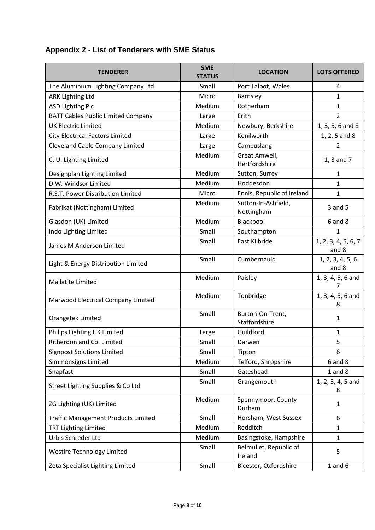# **Appendix 2 - List of Tenderers with SME Status**

| <b>TENDERER</b>                            | <b>SME</b><br><b>STATUS</b> | <b>LOCATION</b>                   | <b>LOTS OFFERED</b>          |
|--------------------------------------------|-----------------------------|-----------------------------------|------------------------------|
| The Aluminium Lighting Company Ltd         | Small                       | Port Talbot, Wales                | 4                            |
| <b>ARK Lighting Ltd</b>                    | Micro                       | Barnsley                          | $\mathbf{1}$                 |
| <b>ASD Lighting Plc</b>                    | Medium                      | Rotherham                         | 1                            |
| <b>BATT Cables Public Limited Company</b>  | Large                       | Erith                             | $\overline{2}$               |
| <b>UK Electric Limited</b>                 | Medium                      | Newbury, Berkshire                | 1, 3, 5, 6 and 8             |
| <b>City Electrical Factors Limited</b>     | Large                       | Kenilworth                        | 1, 2, 5 and 8                |
| <b>Cleveland Cable Company Limited</b>     | Large                       | Cambuslang                        | 2                            |
| C. U. Lighting Limited                     | Medium                      | Great Amwell,<br>Hertfordshire    | 1, 3 and 7                   |
| Designplan Lighting Limited                | Medium                      | Sutton, Surrey                    | 1                            |
| D.W. Windsor Limited                       | Medium                      | Hoddesdon                         | $\mathbf{1}$                 |
| R.S.T. Power Distribution Limited          | Micro                       | Ennis, Republic of Ireland        | $\mathbf{1}$                 |
| Fabrikat (Nottingham) Limited              | Medium                      | Sutton-In-Ashfield,<br>Nottingham | 3 and 5                      |
| Glasdon (UK) Limited                       | Medium                      | Blackpool                         | $6$ and $8$                  |
| Indo Lighting Limited                      | Small                       | Southampton                       | $\mathbf{1}$                 |
| James M Anderson Limited                   | Small                       | East Kilbride                     | 1, 2, 3, 4, 5, 6, 7<br>and 8 |
| Light & Energy Distribution Limited        | Small                       | Cumbernauld                       | 1, 2, 3, 4, 5, 6<br>and 8    |
| <b>Mallatite Limited</b>                   | Medium                      | Paisley                           | 1, 3, 4, 5, 6 and<br>7       |
| Marwood Electrical Company Limited         | Medium                      | Tonbridge                         | 1, 3, 4, 5, 6 and<br>8       |
| Orangetek Limited                          | Small                       | Burton-On-Trent,<br>Staffordshire | 1                            |
| Philips Lighting UK Limited                | Large                       | Guildford                         | 1                            |
| Ritherdon and Co. Limited                  | Small                       | Darwen                            | 5                            |
| <b>Signpost Solutions Limited</b>          | Small                       | Tipton                            | 6                            |
| Simmonsigns Limited                        | Medium                      | Telford, Shropshire               | $6$ and $8$                  |
| Snapfast                                   | Small                       | Gateshead                         | $1$ and $8$                  |
| Street Lighting Supplies & Co Ltd          | Small                       | Grangemouth                       | 1, 2, 3, 4, 5 and<br>8       |
| ZG Lighting (UK) Limited                   | Medium                      | Spennymoor, County<br>Durham      | 1                            |
| <b>Traffic Management Products Limited</b> | Small                       | Horsham, West Sussex              | 6                            |
| <b>TRT Lighting Limited</b>                | Medium                      | Redditch                          | 1                            |
| Urbis Schreder Ltd                         | Medium                      | Basingstoke, Hampshire            | $\mathbf{1}$                 |
| <b>Westire Technology Limited</b>          | Small                       | Belmullet, Republic of<br>Ireland | 5                            |
| Zeta Specialist Lighting Limited           | Small                       | Bicester, Oxfordshire             | $1$ and $6$                  |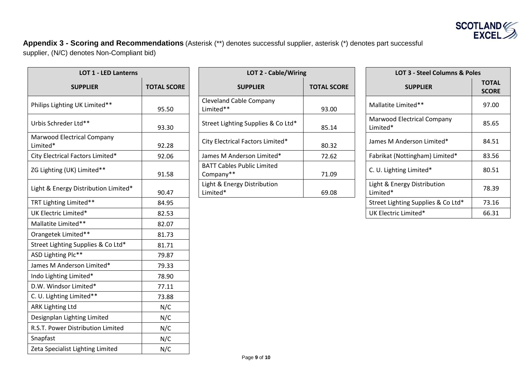

**Appendix 3 - Scoring and Recommendations** (Asterisk (\*\*) denotes successful supplier, asterisk (\*) denotes part successful supplier, (N/C) denotes Non-Compliant bid)

| <b>LOT 1 - LED Lanterns</b>            |                    | LOT 2 - Cable/Wiring                           |                    | LOT 3 - Steel Columns & Poles           |                             |
|----------------------------------------|--------------------|------------------------------------------------|--------------------|-----------------------------------------|-----------------------------|
| <b>SUPPLIER</b>                        | <b>TOTAL SCORE</b> | <b>SUPPLIER</b>                                | <b>TOTAL SCORE</b> | <b>SUPPLIER</b>                         | <b>TOTA</b><br><b>SCORI</b> |
| Philips Lighting UK Limited**          | 95.50              | <b>Cleveland Cable Company</b><br>Limited**    | 93.00              | Mallatite Limited**                     | 97.00                       |
| Urbis Schreder Ltd**                   | 93.30              | Street Lighting Supplies & Co Ltd*             | 85.14              | Marwood Electrical Company<br>Limited*  | 85.65                       |
| Marwood Electrical Company<br>Limited* | 92.28              | City Electrical Factors Limited*               | 80.32              | James M Anderson Limited*               | 84.51                       |
| City Electrical Factors Limited*       | 92.06              | James M Anderson Limited*                      | 72.62              | Fabrikat (Nottingham) Limited*          | 83.56                       |
| ZG Lighting (UK) Limited**             | 91.58              | <b>BATT Cables Public Limited</b><br>Company** | 71.09              | C. U. Lighting Limited*                 | 80.51                       |
| Light & Energy Distribution Limited*   | 90.47              | Light & Energy Distribution<br>Limited*        | 69.08              | Light & Energy Distribution<br>Limited* | 78.39                       |
| TRT Lighting Limited**                 | 84.95              |                                                |                    | Street Lighting Supplies & Co Ltd*      | 73.16                       |
| UK Electric Limited*                   | 82.53              |                                                |                    | UK Electric Limited*                    | 66.31                       |
| Mallatite Limited**                    | 82.07              |                                                |                    |                                         |                             |
| Orangetek Limited**                    | 81.73              |                                                |                    |                                         |                             |
| Street Lighting Supplies & Co Ltd*     | 81.71              |                                                |                    |                                         |                             |
| ASD Lighting Plc**                     | 79.87              |                                                |                    |                                         |                             |
| James M Anderson Limited*              | 79.33              |                                                |                    |                                         |                             |
| Indo Lighting Limited*                 | 78.90              |                                                |                    |                                         |                             |
| D.W. Windsor Limited*                  | 77.11              |                                                |                    |                                         |                             |
| C. U. Lighting Limited**               | 73.88              |                                                |                    |                                         |                             |
| <b>ARK Lighting Ltd</b>                | N/C                |                                                |                    |                                         |                             |
| Designplan Lighting Limited            | N/C                |                                                |                    |                                         |                             |
| R.S.T. Power Distribution Limited      | N/C                |                                                |                    |                                         |                             |
| Snapfast                               | N/C                |                                                |                    |                                         |                             |
| Zeta Specialist Lighting Limited       | N/C                |                                                |                    |                                         |                             |

| <b>LOT 1 - LED Lanterns</b> |                                                | LOT 2 - Cable/Wiring |                                         |                                          |
|-----------------------------|------------------------------------------------|----------------------|-----------------------------------------|------------------------------------------|
| <b>TOTAL SCORE</b>          | <b>SUPPLIER</b>                                | <b>TOTAL SCORE</b>   | <b>SUPPLIER</b>                         | <b>TOTAL</b><br><b>SCORE</b>             |
| 95.50                       | <b>Cleveland Cable Company</b><br>Limited**    | 93.00                | Mallatite Limited**                     | 97.00                                    |
| 93.30                       | Street Lighting Supplies & Co Ltd*             | 85.14                | Marwood Electrical Company<br>Limited*  | 85.65                                    |
| 92.28                       | City Electrical Factors Limited*               | 80.32                | James M Anderson Limited*               | 84.51                                    |
| 92.06                       | James M Anderson Limited*                      | 72.62                | Fabrikat (Nottingham) Limited*          | 83.56                                    |
| 91.58                       | <b>BATT Cables Public Limited</b><br>Company** | 71.09                | C. U. Lighting Limited*                 | 80.51                                    |
| 90.47                       | Light & Energy Distribution<br>Limited*        | 69.08                | Light & Energy Distribution<br>Limited* | 78.39                                    |
|                             |                                                |                      |                                         | <b>LOT 3 - Steel Columns &amp; Poles</b> |

| <b>LOT 3 - Steel Columns &amp; Poles</b> |                              |  |  |  |
|------------------------------------------|------------------------------|--|--|--|
| <b>SUPPLIER</b>                          | <b>TOTAL</b><br><b>SCORE</b> |  |  |  |
| Mallatite Limited**                      | 97.00                        |  |  |  |
| Marwood Electrical Company<br>Limited*   | 85.65                        |  |  |  |
| James M Anderson Limited*                | 84.51                        |  |  |  |
| Fabrikat (Nottingham) Limited*           | 83.56                        |  |  |  |
| C. U. Lighting Limited*                  | 80.51                        |  |  |  |
| Light & Energy Distribution<br>Limited*  | 78.39                        |  |  |  |
| Street Lighting Supplies & Co Ltd*       | 73.16                        |  |  |  |
| UK Electric Limited*                     | 66.31                        |  |  |  |